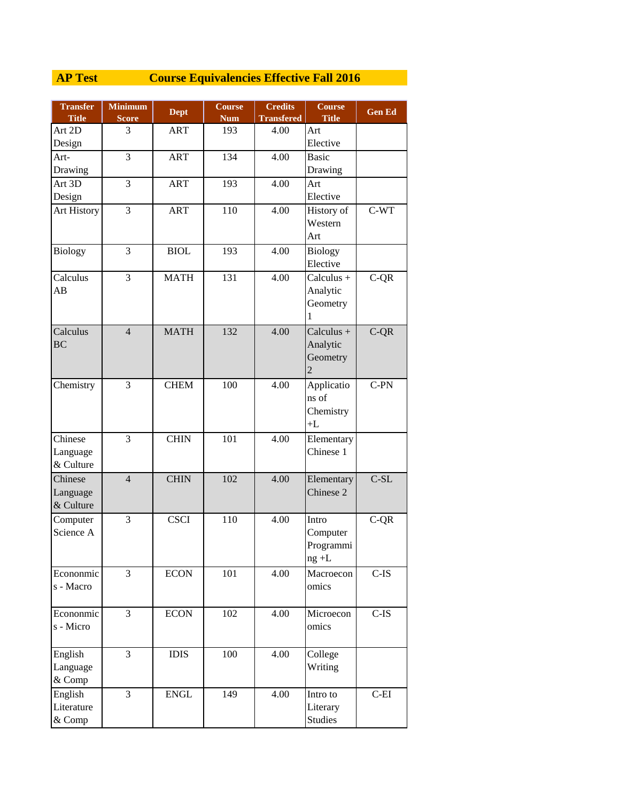## **AP Test Course Equivalencies Effective Fall 2016**

| <b>Transfer</b>             | <b>Minimum</b> | <b>Dept</b> | <b>Course</b> | <b>Credits</b>    | <b>Course</b>  | <b>Gen Ed</b> |
|-----------------------------|----------------|-------------|---------------|-------------------|----------------|---------------|
| <b>Title</b>                | <b>Score</b>   |             | <b>Num</b>    | <b>Transfered</b> | <b>Title</b>   |               |
| Art 2D                      | 3              | <b>ART</b>  | 193           | 4.00              | Art            |               |
| Design                      |                |             |               |                   | Elective       |               |
| Art-                        | 3              | <b>ART</b>  | 134           | 4.00              | <b>Basic</b>   |               |
| Drawing                     |                |             |               |                   | Drawing        |               |
| Art 3D                      | 3              | <b>ART</b>  | 193           | 4.00              | Art            |               |
| Design                      |                |             |               |                   | Elective       |               |
| Art History                 | 3              | <b>ART</b>  | 110           | 4.00              | History of     | $C-WT$        |
|                             |                |             |               |                   | Western        |               |
|                             |                |             |               |                   | Art            |               |
| <b>Biology</b>              | 3              | <b>BIOL</b> | 193           | 4.00              | <b>Biology</b> |               |
|                             |                |             |               |                   | Elective       |               |
| Calculus                    | 3              | <b>MATH</b> | 131           | 4.00              | Calculus +     | $C-QR$        |
| AB                          |                |             |               |                   | Analytic       |               |
|                             |                |             |               |                   | Geometry       |               |
|                             |                |             |               |                   | 1              |               |
| Calculus                    | $\overline{4}$ | <b>MATH</b> | 132           | 4.00              | $Calculus +$   | $C-QR$        |
| <b>BC</b>                   |                |             |               |                   | Analytic       |               |
|                             |                |             |               |                   | Geometry       |               |
|                             |                |             |               |                   | $\overline{2}$ |               |
| Chemistry                   | 3              | <b>CHEM</b> | 100           | 4.00              | Applicatio     | $C-PN$        |
|                             |                |             |               |                   | ns of          |               |
|                             |                |             |               |                   | Chemistry      |               |
|                             |                |             |               |                   | $+L$           |               |
| $\overline{\text{Chinese}}$ | 3              | <b>CHIN</b> | 101           | 4.00              | Elementary     |               |
| Language                    |                |             |               |                   | Chinese 1      |               |
| & Culture                   |                |             |               |                   |                |               |
| Chinese                     | $\overline{4}$ | <b>CHIN</b> | 102           | 4.00              | Elementary     | $C-SL$        |
| Language                    |                |             |               |                   | Chinese 2      |               |
| & Culture                   |                |             |               |                   |                |               |
| Computer                    | 3              | <b>CSCI</b> | 110           | 4.00              | Intro          | $C-QR$        |
| Science A                   |                |             |               |                   | Computer       |               |
|                             |                |             |               |                   | Programmi      |               |
|                             |                |             |               |                   | $ng + L$       |               |
| Econonmic                   | 3              | <b>ECON</b> | 101           | 4.00              | Macroecon      | $C$ -IS       |
| s - Macro                   |                |             |               |                   | omics          |               |
|                             |                |             |               |                   |                |               |
| Econonmic                   | 3              | <b>ECON</b> | 102           | 4.00              | Microecon      | $C$ -IS       |
| s - Micro                   |                |             |               |                   | omics          |               |
|                             |                |             |               |                   |                |               |
| English                     | 3              | <b>IDIS</b> | 100           | 4.00              | College        |               |
| Language                    |                |             |               |                   | Writing        |               |
| & Comp                      |                |             |               |                   |                |               |
| English                     | 3              | <b>ENGL</b> | 149           | 4.00              | Intro to       | $C$ -EI       |
| Literature                  |                |             |               |                   | Literary       |               |
| & Comp                      |                |             |               |                   | Studies        |               |
|                             |                |             |               |                   |                |               |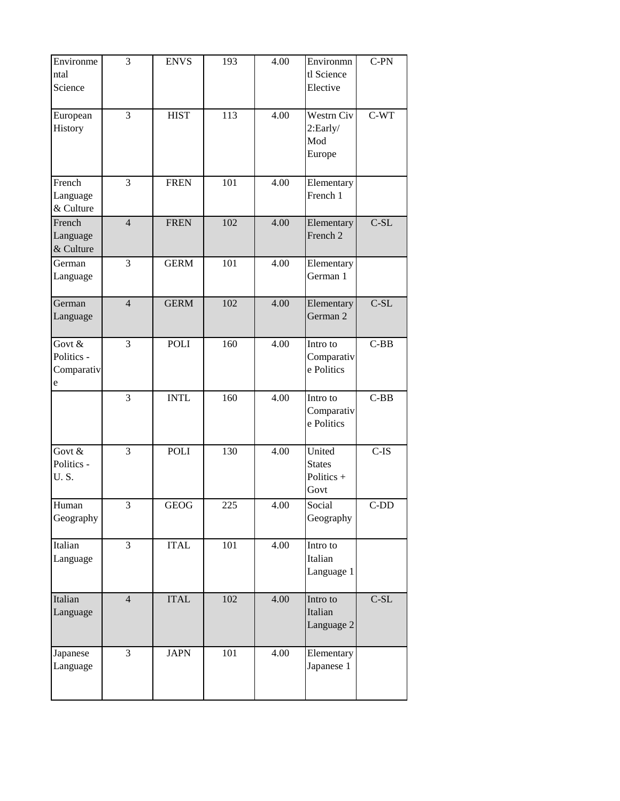| Environme<br>ntal<br>Science              | $\overline{3}$ | <b>ENVS</b> | 193 | 4.00 | Environmn<br>tl Science<br>Elective             | $C-PN$  |
|-------------------------------------------|----------------|-------------|-----|------|-------------------------------------------------|---------|
| European<br>History                       | $\overline{3}$ | <b>HIST</b> | 113 | 4.00 | Westrn Civ<br>2:Early/<br>Mod<br>Europe         | $C-WT$  |
| French<br>Language<br>& Culture           | $\overline{3}$ | <b>FREN</b> | 101 | 4.00 | Elementary<br>French 1                          |         |
| French<br>Language<br>& Culture           | $\overline{4}$ | <b>FREN</b> | 102 | 4.00 | Elementary<br>French 2                          | $C-SL$  |
| German<br>Language                        | 3              | <b>GERM</b> | 101 | 4.00 | Elementary<br>German 1                          |         |
| German<br>Language                        | $\overline{4}$ | <b>GERM</b> | 102 | 4.00 | Elementary<br>German 2                          | $C-SL$  |
| Govt $&$<br>Politics -<br>Comparativ<br>e | $\overline{3}$ | POLI        | 160 | 4.00 | Intro to<br>Comparativ<br>e Politics            | $C-BB$  |
|                                           | 3              | <b>INTL</b> | 160 | 4.00 | Intro to<br>Comparativ<br>e Politics            | $C-BB$  |
| Govt $&$<br>Politics -<br><b>U.S.</b>     | $\overline{3}$ | POLI        | 130 | 4.00 | United<br><b>States</b><br>Politics $+$<br>Govt | $C$ -IS |
| Human<br>Geography                        | 3              | GEOG        | 225 | 4.00 | Social<br>Geography                             | $C-DD$  |
| Italian<br>Language                       | $\overline{3}$ | <b>ITAL</b> | 101 | 4.00 | Intro to<br>Italian<br>Language 1               |         |
| Italian<br>Language                       | $\overline{4}$ | <b>ITAL</b> | 102 | 4.00 | Intro to<br>Italian<br>Language 2               | $C-SL$  |
| Japanese<br>Language                      | $\overline{3}$ | <b>JAPN</b> | 101 | 4.00 | Elementary<br>Japanese 1                        |         |